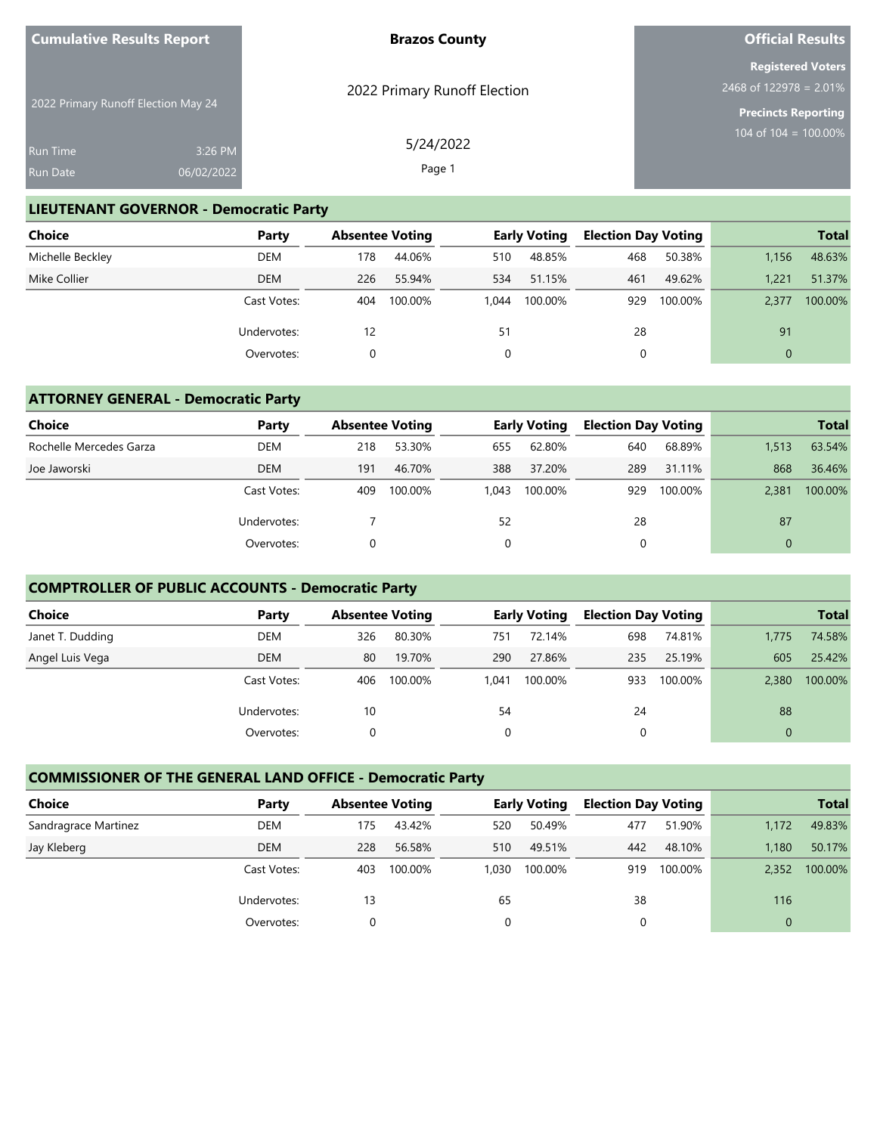| <b>Cumulative Results Report</b>    |                       | <b>Brazos County</b>         | <b>Official Results</b>                                                             |  |  |
|-------------------------------------|-----------------------|------------------------------|-------------------------------------------------------------------------------------|--|--|
| 2022 Primary Runoff Election May 24 |                       | 2022 Primary Runoff Election | <b>Registered Voters</b><br>2468 of $122978 = 2.01\%$<br><b>Precincts Reporting</b> |  |  |
| <b>Run Time</b><br><b>Run Date</b>  | 3:26 PM<br>06/02/2022 | 5/24/2022<br>Page 1          | 104 of 104 = 100.00%                                                                |  |  |

#### **LIEUTENANT GOVERNOR - Democratic Party**

| <b>Choice</b>    | Party       | <b>Absentee Voting</b> |         |       | <b>Early Voting</b> | <b>Election Day Voting</b> |         |          | <b>Total</b> |
|------------------|-------------|------------------------|---------|-------|---------------------|----------------------------|---------|----------|--------------|
| Michelle Beckley | DEM         | 178                    | 44.06%  | 510   | 48.85%              | 468                        | 50.38%  | 1.156    | 48.63%       |
| Mike Collier     | <b>DEM</b>  | 226                    | 55.94%  | 534   | 51.15%              | 461                        | 49.62%  | 1.221    | 51.37%       |
|                  | Cast Votes: | 404                    | 100.00% | 1.044 | 100.00%             | 929                        | 100.00% | 2.377    | 100.00%      |
|                  | Undervotes: | 12                     |         | 51    |                     | 28                         |         | 91       |              |
|                  | Overvotes:  |                        |         |       |                     | 0                          |         | $\Omega$ |              |

#### **ATTORNEY GENERAL - Democratic Party**

| <b>Choice</b>           | Party                     | <b>Absentee Voting</b> |         |       | <b>Early Voting</b> | <b>Election Day Voting</b> |         |          | <b>Total</b> |
|-------------------------|---------------------------|------------------------|---------|-------|---------------------|----------------------------|---------|----------|--------------|
| Rochelle Mercedes Garza | <b>DEM</b>                | 218                    | 53.30%  | 655   | 62.80%              | 640                        | 68.89%  | 1,513    | 63.54%       |
| Joe Jaworski            | <b>DEM</b>                | 191                    | 46.70%  | 388   | 37.20%              | 289                        | 31.11%  | 868      | 36.46%       |
|                         | Cast Votes:               | 409                    | 100.00% | 1.043 | 100.00%             | 929                        | 100.00% | 2.381    | 100.00%      |
|                         | Undervotes:<br>Overvotes: |                        |         | 52    |                     | 28                         |         | 87       |              |
|                         |                           |                        |         | 0     |                     |                            |         | $\Omega$ |              |

### **COMPTROLLER OF PUBLIC ACCOUNTS - Democratic Party**

| <b>Choice</b>    | Party       | <b>Absentee Voting</b> |         |       | <b>Early Voting</b> | <b>Election Day Voting</b> |         |             | <b>Total</b> |
|------------------|-------------|------------------------|---------|-------|---------------------|----------------------------|---------|-------------|--------------|
| Janet T. Dudding | <b>DEM</b>  | 326                    | 80.30%  | 751   | 72.14%              | 698                        | 74.81%  | 1,775       | 74.58%       |
| Angel Luis Vega  | <b>DEM</b>  | 80                     | 19.70%  | 290   | 27.86%              | 235                        | 25.19%  | 605         | 25.42%       |
|                  | Cast Votes: | 406                    | 100.00% | 1.041 | 100.00%             | 933                        | 100.00% | 2.380       | 100.00%      |
|                  | Undervotes: | 10                     |         | 54    |                     | 24                         |         | 88          |              |
|                  | Overvotes:  |                        |         | 0     |                     | 0                          |         | $\mathbf 0$ |              |

## **COMMISSIONER OF THE GENERAL LAND OFFICE - Democratic Party**

| <b>Choice</b>        | Party       | <b>Absentee Voting</b> |         |       | <b>Early Voting</b> | <b>Election Day Voting</b> |         |              | <b>Total</b> |
|----------------------|-------------|------------------------|---------|-------|---------------------|----------------------------|---------|--------------|--------------|
| Sandragrace Martinez | <b>DEM</b>  | 175                    | 43.42%  | 520   | 50.49%              | 477                        | 51.90%  | 1.172        | 49.83%       |
| Jay Kleberg          | <b>DEM</b>  | 228                    | 56.58%  | 510   | 49.51%              | 442                        | 48.10%  | 1.180        | 50.17%       |
|                      | Cast Votes: | 403                    | 100.00% | 1.030 | 100.00%             | 919                        | 100.00% | 2.352        | 100.00%      |
|                      | Undervotes: | 13                     |         | 65    |                     | 38                         |         | 116          |              |
|                      | Overvotes:  |                        |         | 0     |                     | 0                          |         | $\mathbf{0}$ |              |